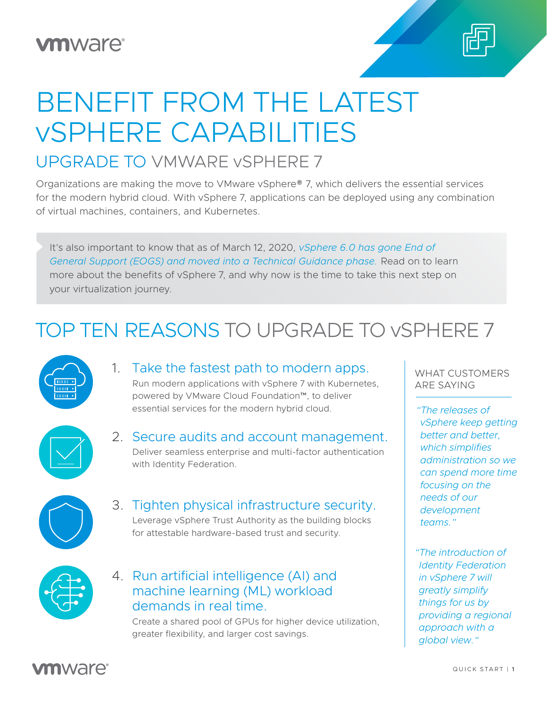# **vm**ware<sup>®</sup>



# BENEFIT FROM THE LATEST vSPHERE CAPABILITIES

# UPGRADE TO VMWARE vSPHERE 7

Organizations are making the move to VMware vSphere® 7, which delivers the essential services for the modern hybrid cloud. With vSphere 7, applications can be deployed using any combination of virtual machines, containers, and Kubernetes.

It's also important to know that as of March 12, 2020, *vSphere 6.0 has gone End of General Support (EOGS) and moved into a Technical Guidance phase.* Read on to learn more about the benefits of vSphere 7, and why now is the time to take this next step on your virtualization journey.

# TOP TEN REASONS TO UPGRADE TO vSPHERE 7



1. Take the fastest path to modern apps. Run modern applications with vSphere 7 with Kubernetes, powered by VMware Cloud Foundation™, to deliver essential services for the modern hybrid cloud.



2. Secure audits and account management. Deliver seamless enterprise and multi-factor authentication with Identity Federation.



3. Tighten physical infrastructure security. Leverage vSphere Trust Authority as the building blocks for attestable hardware-based trust and security.



4. Run artificial intelligence (AI) and machine learning (ML) workload demands in real time.

Create a shared pool of GPUs for higher device utilization, greater flexibility, and larger cost savings.

#### WHAT CUSTOMERS ARE SAYING

*"The releases of vSphere keep getting better and better, which simplifies administration so we can spend more time focusing on the needs of our development teams."*

*"The introduction of Identity Federation in vSphere 7 will greatly simplify things for us by providing a regional approach with a global view."*

### **m**ware<sup>®</sup>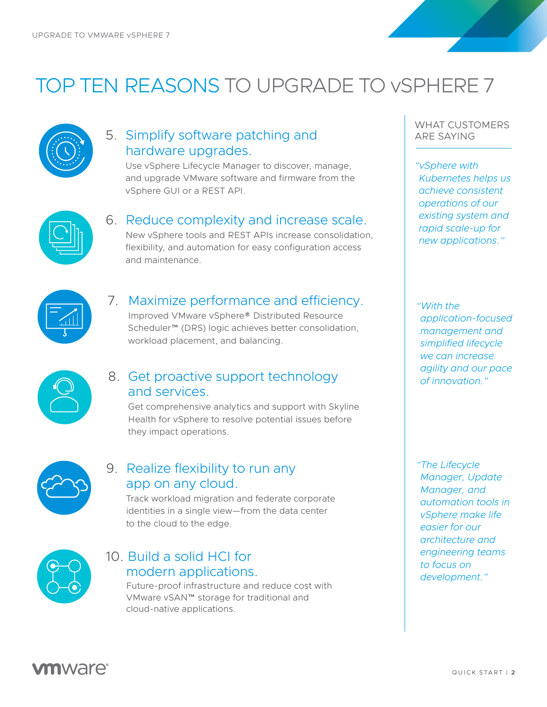# TOP TEN REASONS TO UPGRADE TO vSPHERE 7



### 5. Simplify software patching and hardware upgrades.

Use vSphere Lifecycle Manager to discover, manage, and upgrade VMware software and firmware from the vSphere GUI or a REST API.



### 6. Reduce complexity and increase scale.

New vSphere tools and REST APIs increase consolidation, flexibility, and automation for easy configuration access and maintenance.



### 7. Maximize performance and efficiency.

Improved VMware vSphere® Distributed Resource Scheduler™ (DRS) logic achieves better consolidation, workload placement, and balancing.



#### 8. Get proactive support technology and services.

Get comprehensive analytics and support with Skyline Health for vSphere to resolve potential issues before they impact operations.



#### 9. Realize flexibility to run any app on any cloud.

Track workload migration and federate corporate identities in a single view—from the data center to the cloud to the edge.



#### 10. Build a solid HCI for modern applications.

Future-proof infrastructure and reduce cost with VMware vSAN™ storage for traditional and cloud-native applications.

#### WHAT CUSTOMERS ARE SAYING

*"vSphere with Kubernetes helps us achieve consistent operations of our existing system and rapid scale-up for new applications."*

*"With the application-focused management and simplified lifecycle we can increase agility and our pace of innovation."*

*"The Lifecycle Manager, Update Manager, and automation tools in vSphere make life easier for our architecture and engineering teams to focus on development."*

### **m**ware<sup>®</sup>